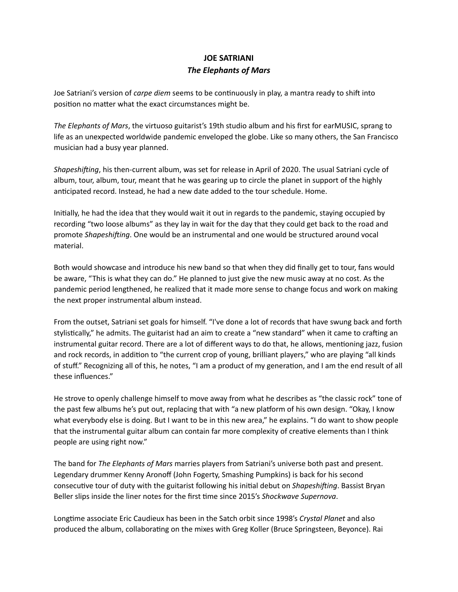## **JOE SATRIANI** *The Elephants of Mars*

Joe Satriani's version of *carpe diem* seems to be continuously in play, a mantra ready to shift into position no matter what the exact circumstances might be.

*The Elephants of Mars*, the virtuoso guitarist's 19th studio album and his first for earMUSIC, sprang to life as an unexpected worldwide pandemic enveloped the globe. Like so many others, the San Francisco musician had a busy year planned.

*Shapeshifting*, his then-current album, was set for release in April of 2020. The usual Satriani cycle of album, tour, album, tour, meant that he was gearing up to circle the planet in support of the highly anticipated record. Instead, he had a new date added to the tour schedule. Home.

Initially, he had the idea that they would wait it out in regards to the pandemic, staying occupied by recording "two loose albums" as they lay in wait for the day that they could get back to the road and promote *Shapeshifting*. One would be an instrumental and one would be structured around vocal material.

Both would showcase and introduce his new band so that when they did finally get to tour, fans would be aware, "This is what they can do." He planned to just give the new music away at no cost. As the pandemic period lengthened, he realized that it made more sense to change focus and work on making the next proper instrumental album instead.

From the outset, Satriani set goals for himself. "I've done a lot of records that have swung back and forth stylistically," he admits. The guitarist had an aim to create a "new standard" when it came to crafting an instrumental guitar record. There are a lot of different ways to do that, he allows, mentioning jazz, fusion and rock records, in addition to "the current crop of young, brilliant players," who are playing "all kinds of stuff." Recognizing all of this, he notes, "I am a product of my generation, and I am the end result of all these influences."

He strove to openly challenge himself to move away from what he describes as "the classic rock" tone of the past few albums he's put out, replacing that with "a new platform of his own design. "Okay, I know what everybody else is doing. But I want to be in this new area," he explains. "I do want to show people that the instrumental guitar album can contain far more complexity of creative elements than I think people are using right now."

The band for *The Elephants of Mars* marries players from Satriani's universe both past and present. Legendary drummer Kenny Aronoff (John Fogerty, Smashing Pumpkins) is back for his second consecutive tour of duty with the guitarist following his initial debut on *Shapeshifting*. Bassist Bryan Beller slips inside the liner notes for the first time since 2015's *Shockwave Supernova*.

Longtime associate Eric Caudieux has been in the Satch orbit since 1998's *Crystal Planet* and also produced the album, collaborating on the mixes with Greg Koller (Bruce Springsteen, Beyonce). Rai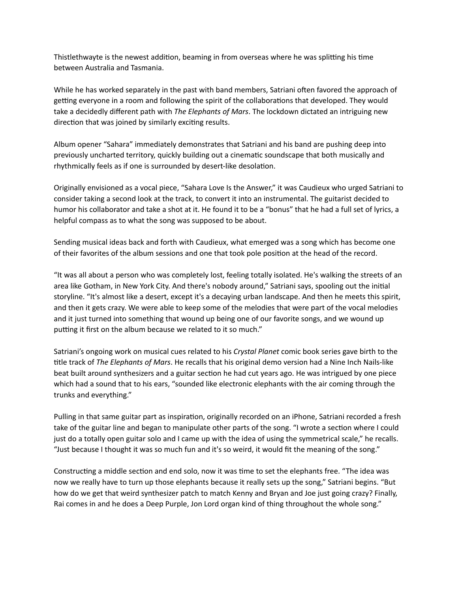Thistlethwayte is the newest addition, beaming in from overseas where he was splitting his time between Australia and Tasmania.

While he has worked separately in the past with band members, Satriani often favored the approach of getting everyone in a room and following the spirit of the collaborations that developed. They would take a decidedly different path with *The Elephants of Mars*. The lockdown dictated an intriguing new direction that was joined by similarly exciting results.

Album opener "Sahara" immediately demonstrates that Satriani and his band are pushing deep into previously uncharted territory, quickly building out a cinematic soundscape that both musically and rhythmically feels as if one is surrounded by desert-like desolation.

Originally envisioned as a vocal piece, "Sahara Love Is the Answer," it was Caudieux who urged Satriani to consider taking a second look at the track, to convert it into an instrumental. The guitarist decided to humor his collaborator and take a shot at it. He found it to be a "bonus" that he had a full set of lyrics, a helpful compass as to what the song was supposed to be about.

Sending musical ideas back and forth with Caudieux, what emerged was a song which has become one of their favorites of the album sessions and one that took pole position at the head of the record.

"It was all about a person who was completely lost, feeling totally isolated. He's walking the streets of an area like Gotham, in New York City. And there's nobody around," Satriani says, spooling out the initial storyline. "It's almost like a desert, except it's a decaying urban landscape. And then he meets this spirit, and then it gets crazy. We were able to keep some of the melodies that were part of the vocal melodies and it just turned into something that wound up being one of our favorite songs, and we wound up putting it first on the album because we related to it so much."

Satriani's ongoing work on musical cues related to his *Crystal Planet* comic book series gave birth to the title track of *The Elephants of Mars*. He recalls that his original demo version had a Nine Inch Nails-like beat built around synthesizers and a guitar section he had cut years ago. He was intrigued by one piece which had a sound that to his ears, "sounded like electronic elephants with the air coming through the trunks and everything."

Pulling in that same guitar part as inspiration, originally recorded on an iPhone, Satriani recorded a fresh take of the guitar line and began to manipulate other parts of the song. "I wrote a section where I could just do a totally open guitar solo and I came up with the idea of using the symmetrical scale," he recalls. "Just because I thought it was so much fun and it's so weird, it would fit the meaning of the song."

Constructing a middle section and end solo, now it was time to set the elephants free. "The idea was now we really have to turn up those elephants because it really sets up the song," Satriani begins. "But how do we get that weird synthesizer patch to match Kenny and Bryan and Joe just going crazy? Finally, Rai comes in and he does a Deep Purple, Jon Lord organ kind of thing throughout the whole song."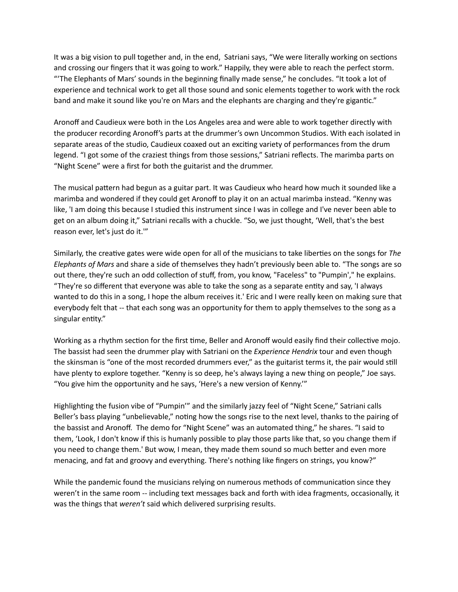It was a big vision to pull together and, in the end, Satriani says, "We were literally working on sections and crossing our fingers that it was going to work." Happily, they were able to reach the perfect storm. "'The Elephants of Mars' sounds in the beginning finally made sense," he concludes. "It took a lot of experience and technical work to get all those sound and sonic elements together to work with the rock band and make it sound like you're on Mars and the elephants are charging and they're gigantic."

Aronoff and Caudieux were both in the Los Angeles area and were able to work together directly with the producer recording Aronoff's parts at the drummer's own Uncommon Studios. With each isolated in separate areas of the studio, Caudieux coaxed out an exciting variety of performances from the drum legend. "I got some of the craziest things from those sessions," Satriani reflects. The marimba parts on "Night Scene" were a first for both the guitarist and the drummer.

The musical pattern had begun as a guitar part. It was Caudieux who heard how much it sounded like a marimba and wondered if they could get Aronoff to play it on an actual marimba instead. "Kenny was like, 'I am doing this because I studied this instrument since I was in college and I've never been able to get on an album doing it," Satriani recalls with a chuckle. "So, we just thought, 'Well, that's the best reason ever, let's just do it.'"

Similarly, the creative gates were wide open for all of the musicians to take liberties on the songs for *The Elephants of Mars* and share a side of themselves they hadn't previously been able to. "The songs are so out there, they're such an odd collection of stuff, from, you know, "Faceless" to "Pumpin'," he explains. "They're so different that everyone was able to take the song as a separate entity and say, 'I always wanted to do this in a song, I hope the album receives it.' Eric and I were really keen on making sure that everybody felt that -- that each song was an opportunity for them to apply themselves to the song as a singular entity."

Working as a rhythm section for the first time, Beller and Aronoff would easily find their collective mojo. The bassist had seen the drummer play with Satriani on the *Experience Hendrix* tour and even though the skinsman is "one of the most recorded drummers ever," as the guitarist terms it, the pair would still have plenty to explore together. "Kenny is so deep, he's always laying a new thing on people," Joe says. "You give him the opportunity and he says, 'Here's a new version of Kenny.'"

Highlighting the fusion vibe of "Pumpin'" and the similarly jazzy feel of "Night Scene," Satriani calls Beller's bass playing "unbelievable," noting how the songs rise to the next level, thanks to the pairing of the bassist and Aronoff. The demo for "Night Scene" was an automated thing," he shares. "I said to them, 'Look, I don't know if this is humanly possible to play those parts like that, so you change them if you need to change them.' But wow, I mean, they made them sound so much better and even more menacing, and fat and groovy and everything. There's nothing like fingers on strings, you know?"

While the pandemic found the musicians relying on numerous methods of communication since they weren't in the same room -- including text messages back and forth with idea fragments, occasionally, it was the things that *weren't* said which delivered surprising results.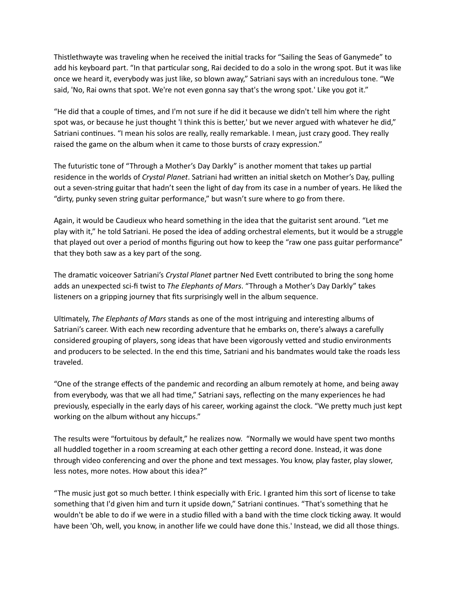Thistlethwayte was traveling when he received the initial tracks for "Sailing the Seas of Ganymede" to add his keyboard part. "In that particular song, Rai decided to do a solo in the wrong spot. But it was like once we heard it, everybody was just like, so blown away," Satriani says with an incredulous tone. "We said, 'No, Rai owns that spot. We're not even gonna say that's the wrong spot.' Like you got it."

"He did that a couple of times, and I'm not sure if he did it because we didn't tell him where the right spot was, or because he just thought 'I think this is better,' but we never argued with whatever he did," Satriani continues. "I mean his solos are really, really remarkable. I mean, just crazy good. They really raised the game on the album when it came to those bursts of crazy expression."

The futuristic tone of "Through a Mother's Day Darkly" is another moment that takes up partial residence in the worlds of *Crystal Planet*. Satriani had written an initial sketch on Mother's Day, pulling out a seven-string guitar that hadn't seen the light of day from its case in a number of years. He liked the "dirty, punky seven string guitar performance," but wasn't sure where to go from there.

Again, it would be Caudieux who heard something in the idea that the guitarist sent around. "Let me play with it," he told Satriani. He posed the idea of adding orchestral elements, but it would be a struggle that played out over a period of months figuring out how to keep the "raw one pass guitar performance" that they both saw as a key part of the song.

The dramatic voiceover Satriani's *Crystal Planet* partner Ned Evett contributed to bring the song home adds an unexpected sci-fi twist to *The Elephants of Mars*. "Through a Mother's Day Darkly" takes listeners on a gripping journey that fits surprisingly well in the album sequence.

Ultimately, *The Elephants of Mars* stands as one of the most intriguing and interesting albums of Satriani's career. With each new recording adventure that he embarks on, there's always a carefully considered grouping of players, song ideas that have been vigorously vetted and studio environments and producers to be selected. In the end this time, Satriani and his bandmates would take the roads less traveled.

"One of the strange effects of the pandemic and recording an album remotely at home, and being away from everybody, was that we all had time," Satriani says, reflecting on the many experiences he had previously, especially in the early days of his career, working against the clock. "We pretty much just kept working on the album without any hiccups."

The results were "fortuitous by default," he realizes now. "Normally we would have spent two months all huddled together in a room screaming at each other getting a record done. Instead, it was done through video conferencing and over the phone and text messages. You know, play faster, play slower, less notes, more notes. How about this idea?"

"The music just got so much better. I think especially with Eric. I granted him this sort of license to take something that I'd given him and turn it upside down," Satriani continues. "That's something that he wouldn't be able to do if we were in a studio filled with a band with the time clock ticking away. It would have been 'Oh, well, you know, in another life we could have done this.' Instead, we did all those things.